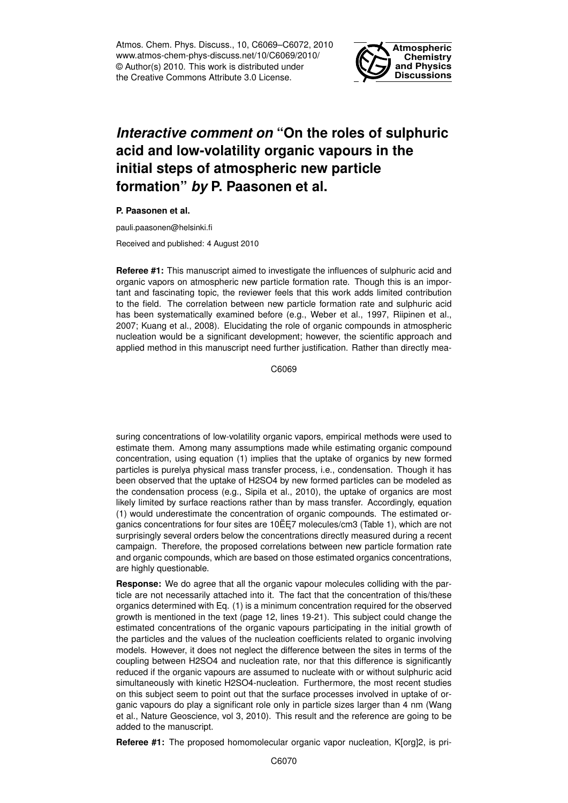Atmos. Chem. Phys. Discuss., 10, C6069–C6072, 2010 www.atmos-chem-phys-discuss.net/10/C6069/2010/ © Author(s) 2010. This work is distributed under the Creative Commons Attribute 3.0 License.



## *Interactive comment on* **"On the roles of sulphuric acid and low-volatility organic vapours in the initial steps of atmospheric new particle formation"** *by* **P. Paasonen et al.**

**P. Paasonen et al.**

pauli.paasonen@helsinki.fi

Received and published: 4 August 2010

**Referee #1:** This manuscript aimed to investigate the influences of sulphuric acid and organic vapors on atmospheric new particle formation rate. Though this is an important and fascinating topic, the reviewer feels that this work adds limited contribution to the field. The correlation between new particle formation rate and sulphuric acid has been systematically examined before (e.g., Weber et al., 1997, Riipinen et al., 2007; Kuang et al., 2008). Elucidating the role of organic compounds in atmospheric nucleation would be a significant development; however, the scientific approach and applied method in this manuscript need further justification. Rather than directly mea-

C6069

suring concentrations of low-volatility organic vapors, empirical methods were used to estimate them. Among many assumptions made while estimating organic compound concentration, using equation (1) implies that the uptake of organics by new formed particles is purelya physical mass transfer process, i.e., condensation. Though it has been observed that the uptake of H2SO4 by new formed particles can be modeled as the condensation process (e.g., Sipila et al., 2010), the uptake of organics are most likely limited by surface reactions rather than by mass transfer. Accordingly, equation (1) would underestimate the concentration of organic compounds. The estimated organics concentrations for four sites are  $10E E7$  molecules/cm3 (Table 1), which are not surprisingly several orders below the concentrations directly measured during a recent campaign. Therefore, the proposed correlations between new particle formation rate and organic compounds, which are based on those estimated organics concentrations, are highly questionable.

**Response:** We do agree that all the organic vapour molecules colliding with the particle are not necessarily attached into it. The fact that the concentration of this/these organics determined with Eq. (1) is a minimum concentration required for the observed growth is mentioned in the text (page 12, lines 19-21). This subject could change the estimated concentrations of the organic vapours participating in the initial growth of the particles and the values of the nucleation coefficients related to organic involving models. However, it does not neglect the difference between the sites in terms of the coupling between H2SO4 and nucleation rate, nor that this difference is significantly reduced if the organic vapours are assumed to nucleate with or without sulphuric acid simultaneously with kinetic H2SO4-nucleation. Furthermore, the most recent studies on this subject seem to point out that the surface processes involved in uptake of organic vapours do play a significant role only in particle sizes larger than 4 nm (Wang et al., Nature Geoscience, vol 3, 2010). This result and the reference are going to be added to the manuscript.

**Referee #1:** The proposed homomolecular organic vapor nucleation, K[org]2, is pri-